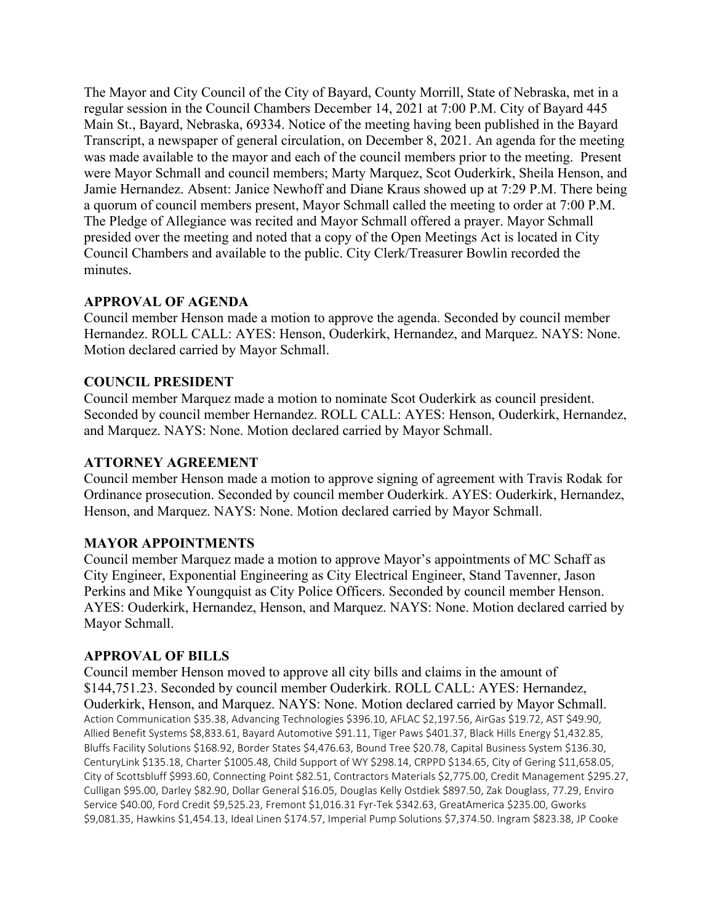The Mayor and City Council of the City of Bayard, County Morrill, State of Nebraska, met in a regular session in the Council Chambers December 14, 2021 at 7:00 P.M. City of Bayard 445 Main St., Bayard, Nebraska, 69334. Notice of the meeting having been published in the Bayard Transcript, a newspaper of general circulation, on December 8, 2021. An agenda for the meeting was made available to the mayor and each of the council members prior to the meeting. Present were Mayor Schmall and council members; Marty Marquez, Scot Ouderkirk, Sheila Henson, and Jamie Hernandez. Absent: Janice Newhoff and Diane Kraus showed up at 7:29 P.M. There being a quorum of council members present, Mayor Schmall called the meeting to order at 7:00 P.M. The Pledge of Allegiance was recited and Mayor Schmall offered a prayer. Mayor Schmall presided over the meeting and noted that a copy of the Open Meetings Act is located in City Council Chambers and available to the public. City Clerk/Treasurer Bowlin recorded the minutes.

### **APPROVAL OF AGENDA**

Council member Henson made a motion to approve the agenda. Seconded by council member Hernandez. ROLL CALL: AYES: Henson, Ouderkirk, Hernandez, and Marquez. NAYS: None. Motion declared carried by Mayor Schmall.

# **COUNCIL PRESIDENT**

Council member Marquez made a motion to nominate Scot Ouderkirk as council president. Seconded by council member Hernandez. ROLL CALL: AYES: Henson, Ouderkirk, Hernandez, and Marquez. NAYS: None. Motion declared carried by Mayor Schmall.

## **ATTORNEY AGREEMENT**

Council member Henson made a motion to approve signing of agreement with Travis Rodak for Ordinance prosecution. Seconded by council member Ouderkirk. AYES: Ouderkirk, Hernandez, Henson, and Marquez. NAYS: None. Motion declared carried by Mayor Schmall.

### **MAYOR APPOINTMENTS**

Council member Marquez made a motion to approve Mayor's appointments of MC Schaff as City Engineer, Exponential Engineering as City Electrical Engineer, Stand Tavenner, Jason Perkins and Mike Youngquist as City Police Officers. Seconded by council member Henson. AYES: Ouderkirk, Hernandez, Henson, and Marquez. NAYS: None. Motion declared carried by Mayor Schmall.

### **APPROVAL OF BILLS**

Council member Henson moved to approve all city bills and claims in the amount of \$144,751.23. Seconded by council member Ouderkirk. ROLL CALL: AYES: Hernandez, Ouderkirk, Henson, and Marquez. NAYS: None. Motion declared carried by Mayor Schmall. Action Communication \$35.38, Advancing Technologies \$396.10, AFLAC \$2,197.56, AirGas \$19.72, AST \$49.90, Allied Benefit Systems \$8,833.61, Bayard Automotive \$91.11, Tiger Paws \$401.37, Black Hills Energy \$1,432.85, Bluffs Facility Solutions \$168.92, Border States \$4,476.63, Bound Tree \$20.78, Capital Business System \$136.30, CenturyLink \$135.18, Charter \$1005.48, Child Support of WY \$298.14, CRPPD \$134.65, City of Gering \$11,658.05, City of Scottsbluff \$993.60, Connecting Point \$82.51, Contractors Materials \$2,775.00, Credit Management \$295.27, Culligan \$95.00, Darley \$82.90, Dollar General \$16.05, Douglas Kelly Ostdiek \$897.50, Zak Douglass, 77.29, Enviro Service \$40.00, Ford Credit \$9,525.23, Fremont \$1,016.31 Fyr-Tek \$342.63, GreatAmerica \$235.00, Gworks \$9,081.35, Hawkins \$1,454.13, Ideal Linen \$174.57, Imperial Pump Solutions \$7,374.50. Ingram \$823.38, JP Cooke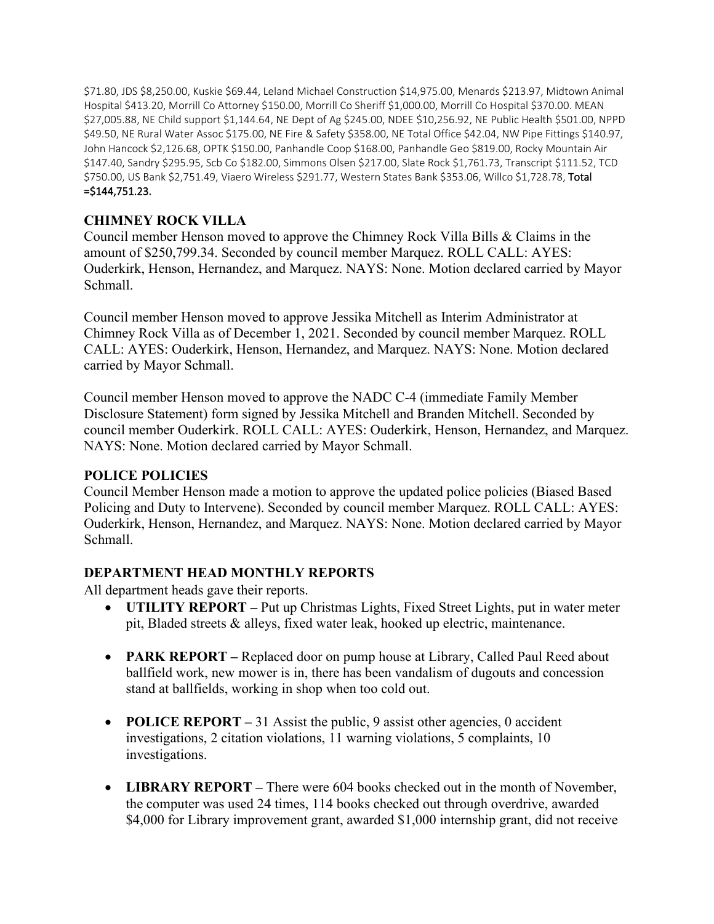\$71.80, JDS \$8,250.00, Kuskie \$69.44, Leland Michael Construction \$14,975.00, Menards \$213.97, Midtown Animal Hospital \$413.20, Morrill Co Attorney \$150.00, Morrill Co Sheriff \$1,000.00, Morrill Co Hospital \$370.00. MEAN \$27,005.88, NE Child support \$1,144.64, NE Dept of Ag \$245.00, NDEE \$10,256.92, NE Public Health \$501.00, NPPD \$49.50, NE Rural Water Assoc \$175.00, NE Fire & Safety \$358.00, NE Total Office \$42.04, NW Pipe Fittings \$140.97, John Hancock \$2,126.68, OPTK \$150.00, Panhandle Coop \$168.00, Panhandle Geo \$819.00, Rocky Mountain Air \$147.40, Sandry \$295.95, Scb Co \$182.00, Simmons Olsen \$217.00, Slate Rock \$1,761.73, Transcript \$111.52, TCD \$750.00, US Bank \$2,751.49, Viaero Wireless \$291.77, Western States Bank \$353.06, Willco \$1,728.78, Total =\$144,751.23.

# **CHIMNEY ROCK VILLA**

Council member Henson moved to approve the Chimney Rock Villa Bills & Claims in the amount of \$250,799.34. Seconded by council member Marquez. ROLL CALL: AYES: Ouderkirk, Henson, Hernandez, and Marquez. NAYS: None. Motion declared carried by Mayor Schmall.

Council member Henson moved to approve Jessika Mitchell as Interim Administrator at Chimney Rock Villa as of December 1, 2021. Seconded by council member Marquez. ROLL CALL: AYES: Ouderkirk, Henson, Hernandez, and Marquez. NAYS: None. Motion declared carried by Mayor Schmall.

Council member Henson moved to approve the NADC C-4 (immediate Family Member Disclosure Statement) form signed by Jessika Mitchell and Branden Mitchell. Seconded by council member Ouderkirk. ROLL CALL: AYES: Ouderkirk, Henson, Hernandez, and Marquez. NAYS: None. Motion declared carried by Mayor Schmall.

### **POLICE POLICIES**

Council Member Henson made a motion to approve the updated police policies (Biased Based Policing and Duty to Intervene). Seconded by council member Marquez. ROLL CALL: AYES: Ouderkirk, Henson, Hernandez, and Marquez. NAYS: None. Motion declared carried by Mayor Schmall.

# **DEPARTMENT HEAD MONTHLY REPORTS**

All department heads gave their reports.

- **UTILITY REPORT** Put up Christmas Lights, Fixed Street Lights, put in water meter pit, Bladed streets & alleys, fixed water leak, hooked up electric, maintenance.
- **PARK REPORT** Replaced door on pump house at Library, Called Paul Reed about ballfield work, new mower is in, there has been vandalism of dugouts and concession stand at ballfields, working in shop when too cold out.
- **POLICE REPORT** 31 Assist the public, 9 assist other agencies, 0 accident investigations, 2 citation violations, 11 warning violations, 5 complaints, 10 investigations.
- **LIBRARY REPORT –** There were 604 books checked out in the month of November, the computer was used 24 times, 114 books checked out through overdrive, awarded \$4,000 for Library improvement grant, awarded \$1,000 internship grant, did not receive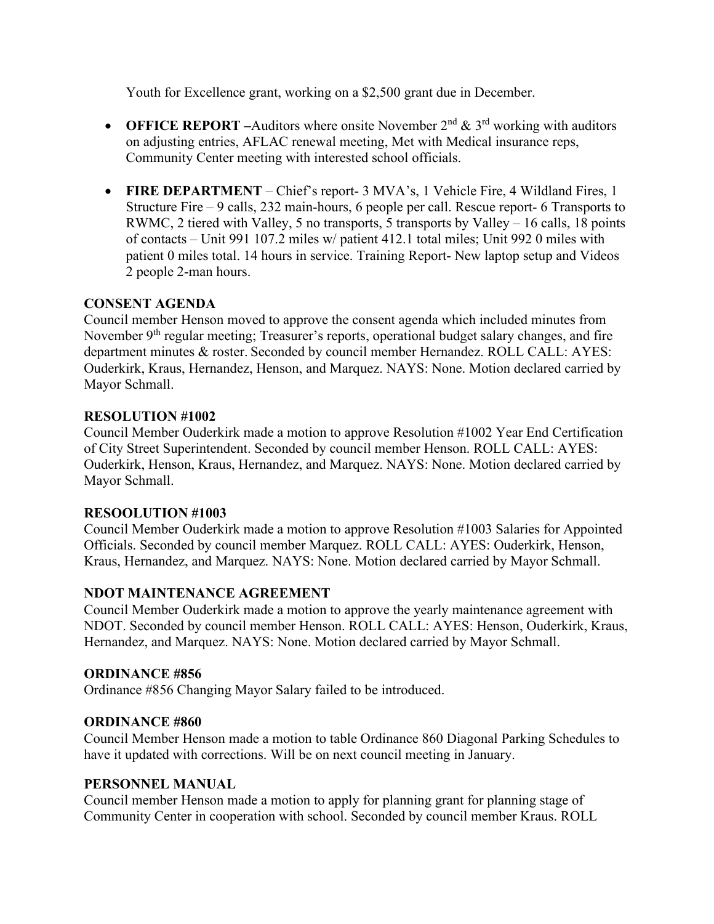Youth for Excellence grant, working on a \$2,500 grant due in December.

- **OFFICE REPORT** –Auditors where onsite November  $2^{nd} \& 3^{rd}$  working with auditors on adjusting entries, AFLAC renewal meeting, Met with Medical insurance reps, Community Center meeting with interested school officials.
- **FIRE DEPARTMENT** Chief's report- 3 MVA's, 1 Vehicle Fire, 4 Wildland Fires, 1 Structure Fire – 9 calls, 232 main-hours, 6 people per call. Rescue report- 6 Transports to RWMC, 2 tiered with Valley, 5 no transports, 5 transports by Valley – 16 calls, 18 points of contacts – Unit 991 107.2 miles w/ patient 412.1 total miles; Unit 992 0 miles with patient 0 miles total. 14 hours in service. Training Report- New laptop setup and Videos 2 people 2-man hours.

# **CONSENT AGENDA**

Council member Henson moved to approve the consent agenda which included minutes from November 9<sup>th</sup> regular meeting; Treasurer's reports, operational budget salary changes, and fire department minutes & roster. Seconded by council member Hernandez. ROLL CALL: AYES: Ouderkirk, Kraus, Hernandez, Henson, and Marquez. NAYS: None. Motion declared carried by Mayor Schmall.

### **RESOLUTION #1002**

Council Member Ouderkirk made a motion to approve Resolution #1002 Year End Certification of City Street Superintendent. Seconded by council member Henson. ROLL CALL: AYES: Ouderkirk, Henson, Kraus, Hernandez, and Marquez. NAYS: None. Motion declared carried by Mayor Schmall.

### **RESOOLUTION #1003**

Council Member Ouderkirk made a motion to approve Resolution #1003 Salaries for Appointed Officials. Seconded by council member Marquez. ROLL CALL: AYES: Ouderkirk, Henson, Kraus, Hernandez, and Marquez. NAYS: None. Motion declared carried by Mayor Schmall.

### **NDOT MAINTENANCE AGREEMENT**

Council Member Ouderkirk made a motion to approve the yearly maintenance agreement with NDOT. Seconded by council member Henson. ROLL CALL: AYES: Henson, Ouderkirk, Kraus, Hernandez, and Marquez. NAYS: None. Motion declared carried by Mayor Schmall.

### **ORDINANCE #856**

Ordinance #856 Changing Mayor Salary failed to be introduced.

### **ORDINANCE #860**

Council Member Henson made a motion to table Ordinance 860 Diagonal Parking Schedules to have it updated with corrections. Will be on next council meeting in January.

### **PERSONNEL MANUAL**

Council member Henson made a motion to apply for planning grant for planning stage of Community Center in cooperation with school. Seconded by council member Kraus. ROLL